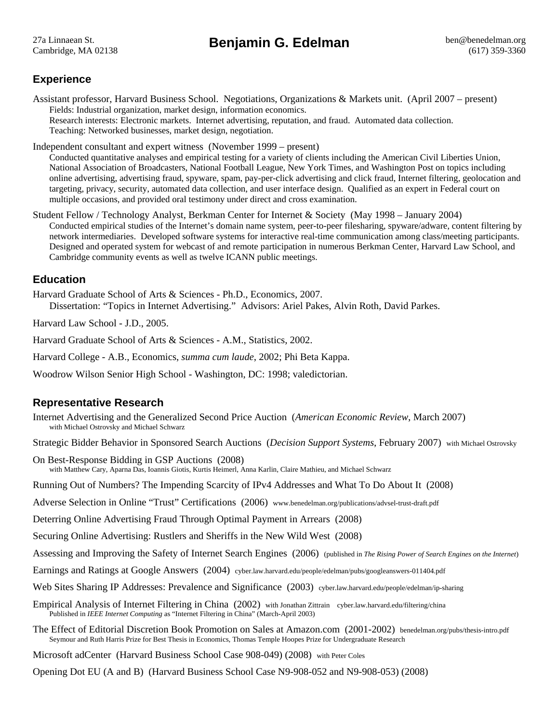# **Experience**

Assistant professor, Harvard Business School. Negotiations, Organizations & Markets unit. (April 2007 – present) Fields: Industrial organization, market design, information economics. Research interests: Electronic markets. Internet advertising, reputation, and fraud. Automated data collection. Teaching: Networked businesses, market design, negotiation.

Independent consultant and expert witness (November 1999 – present)

Conducted quantitative analyses and empirical testing for a variety of clients including the American Civil Liberties Union, National Association of Broadcasters, National Football League, New York Times, and Washington Post on topics including online advertising, advertising fraud, spyware, spam, pay-per-click advertising and click fraud, Internet filtering, geolocation and targeting, privacy, security, automated data collection, and user interface design. Qualified as an expert in Federal court on multiple occasions, and provided oral testimony under direct and cross examination.

Student Fellow / Technology Analyst, Berkman Center for Internet & Society (May 1998 – January 2004) Conducted empirical studies of the Internet's domain name system, peer-to-peer filesharing, spyware/adware, content filtering by network intermediaries. Developed software systems for interactive real-time communication among class/meeting participants. Designed and operated system for webcast of and remote participation in numerous Berkman Center, Harvard Law School, and Cambridge community events as well as twelve ICANN public meetings.

## **Education**

Harvard Graduate School of Arts & Sciences - Ph.D., Economics, 2007. Dissertation: "Topics in Internet Advertising." Advisors: Ariel Pakes, Alvin Roth, David Parkes.

Harvard Law School - J.D., 2005.

Harvard Graduate School of Arts & Sciences - A.M., Statistics, 2002.

Harvard College - A.B., Economics, *summa cum laude*, 2002; Phi Beta Kappa.

Woodrow Wilson Senior High School - Washington, DC: 1998; valedictorian.

## **Representative Research**

Internet Advertising and the Generalized Second Price Auction (*American Economic Review*, March 2007) with Michael Ostrovsky and Michael Schwarz

Strategic Bidder Behavior in Sponsored Search Auctions (*Decision Support Systems*, February 2007) with Michael Ostrovsky

On Best-Response Bidding in GSP Auctions (2008) with Matthew Cary, Aparna Das, Ioannis Giotis, Kurtis Heimerl, Anna Karlin, Claire Mathieu, and Michael Schwarz

Running Out of Numbers? The Impending Scarcity of IPv4 Addresses and What To Do About It (2008)

Adverse Selection in Online "Trust" Certifications (2006) www.benedelman.org/publications/advsel-trust-draft.pdf

Deterring Online Advertising Fraud Through Optimal Payment in Arrears (2008)

Securing Online Advertising: Rustlers and Sheriffs in the New Wild West (2008)

Assessing and Improving the Safety of Internet Search Engines (2006) (published in *The Rising Power of Search Engines on the Internet*)

Earnings and Ratings at Google Answers (2004) cyber.law.harvard.edu/people/edelman/pubs/googleanswers-011404.pdf

Web Sites Sharing IP Addresses: Prevalence and Significance (2003) cyber.law.harvard.edu/people/edelman/ip-sharing

- Empirical Analysis of Internet Filtering in China (2002) with Jonathan Zittrain cyber.law.harvard.edu/filtering/china Published in *IEEE Internet Computing* as "Internet Filtering in China" (March-April 2003)
- The Effect of Editorial Discretion Book Promotion on Sales at Amazon.com (2001-2002) benedelman.org/pubs/thesis-intro.pdf Seymour and Ruth Harris Prize for Best Thesis in Economics, Thomas Temple Hoopes Prize for Undergraduate Research
- Microsoft adCenter (Harvard Business School Case 908-049) (2008) with Peter Coles

Opening Dot EU (A and B) (Harvard Business School Case N9-908-052 and N9-908-053) (2008)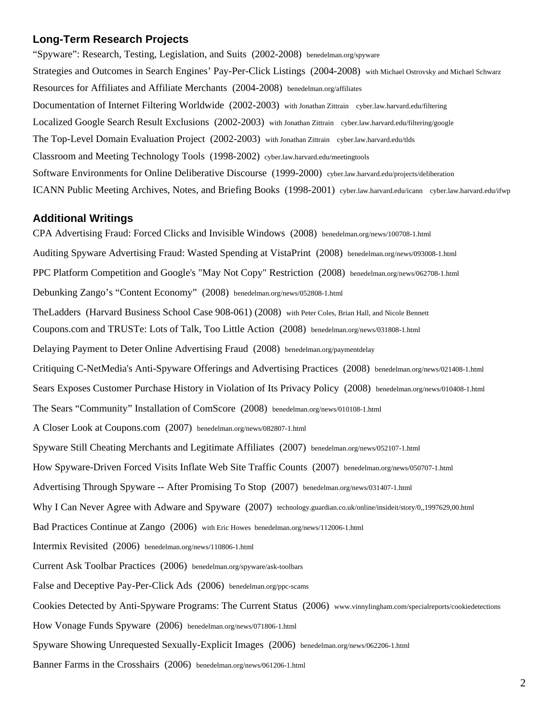### **Long-Term Research Projects**

"Spyware": Research, Testing, Legislation, and Suits (2002-2008) benedelman.org/spyware Strategies and Outcomes in Search Engines' Pay-Per-Click Listings (2004-2008) with Michael Ostrovsky and Michael Schwarz Resources for Affiliates and Affiliate Merchants (2004-2008) benedelman.org/affiliates Documentation of Internet Filtering Worldwide (2002-2003) with Jonathan Zittrain cyber.law.harvard.edu/filtering Localized Google Search Result Exclusions (2002-2003) with Jonathan Zittrain cyber.law.harvard.edu/filtering/google The Top-Level Domain Evaluation Project (2002-2003) with Jonathan Zittrain cyber.law.harvard.edu/tlds Classroom and Meeting Technology Tools (1998-2002) cyber.law.harvard.edu/meetingtools Software Environments for Online Deliberative Discourse (1999-2000) cyber.law.harvard.edu/projects/deliberation ICANN Public Meeting Archives, Notes, and Briefing Books (1998-2001) cyber.law.harvard.edu/icann cyber.law.harvard.edu/ifwp

#### **Additional Writings**

CPA Advertising Fraud: Forced Clicks and Invisible Windows (2008) benedelman.org/news/100708-1.html Auditing Spyware Advertising Fraud: Wasted Spending at VistaPrint (2008) benedelman.org/news/093008-1.html PPC Platform Competition and Google's "May Not Copy" Restriction (2008) benedelman.org/news/062708-1.html Debunking Zango's "Content Economy" (2008) benedelman.org/news/052808-1.html TheLadders (Harvard Business School Case 908-061) (2008) with Peter Coles, Brian Hall, and Nicole Bennett Coupons.com and TRUSTe: Lots of Talk, Too Little Action (2008) benedelman.org/news/031808-1.html Delaying Payment to Deter Online Advertising Fraud (2008) benedelman.org/paymentdelay Critiquing C-NetMedia's Anti-Spyware Offerings and Advertising Practices (2008) benedelman.org/news/021408-1.html Sears Exposes Customer Purchase History in Violation of Its Privacy Policy (2008) benedelman.org/news/010408-1.html The Sears "Community" Installation of ComScore (2008) benedelman.org/news/010108-1.html A Closer Look at Coupons.com (2007) benedelman.org/news/082807-1.html Spyware Still Cheating Merchants and Legitimate Affiliates (2007) benedelman.org/news/052107-1.html How Spyware-Driven Forced Visits Inflate Web Site Traffic Counts (2007) benedelman.org/news/050707-1.html Advertising Through Spyware -- After Promising To Stop (2007) benedelman.org/news/031407-1.html Why I Can Never Agree with Adware and Spyware (2007) technology.guardian.co.uk/online/insideit/story/0,,1997629,00.html Bad Practices Continue at Zango (2006) with Eric Howes benedelman.org/news/112006-1.html Intermix Revisited (2006) benedelman.org/news/110806-1.html Current Ask Toolbar Practices (2006) benedelman.org/spyware/ask-toolbars False and Deceptive Pay-Per-Click Ads (2006) benedelman.org/ppc-scams Cookies Detected by Anti-Spyware Programs: The Current Status (2006) www.vinnylingham.com/specialreports/cookiedetections How Vonage Funds Spyware (2006) benedelman.org/news/071806-1.html Spyware Showing Unrequested Sexually-Explicit Images (2006) benedelman.org/news/062206-1.html

Banner Farms in the Crosshairs (2006) benedelman.org/news/061206-1.html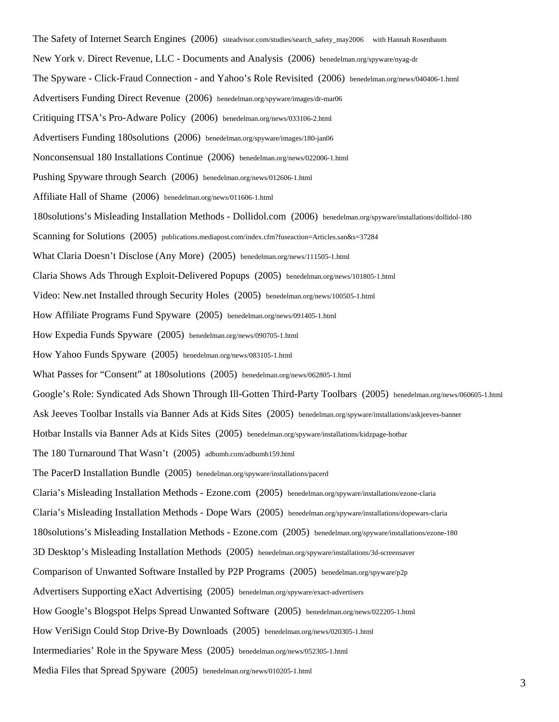The Safety of Internet Search Engines (2006) siteadvisor.com/studies/search\_safety\_may2006 with Hannah Rosenbaum New York v. Direct Revenue, LLC - Documents and Analysis (2006) benedelman.org/spyware/nyag-dr The Spyware - Click-Fraud Connection - and Yahoo's Role Revisited (2006) benedelman.org/news/040406-1.html Advertisers Funding Direct Revenue (2006) benedelman.org/spyware/images/dr-mar06 Critiquing ITSA's Pro-Adware Policy (2006) benedelman.org/news/033106-2.html Advertisers Funding 180solutions (2006) benedelman.org/spyware/images/180-jan06 Nonconsensual 180 Installations Continue (2006) benedelman.org/news/022006-1.html Pushing Spyware through Search (2006) benedelman.org/news/012606-1.html Affiliate Hall of Shame (2006) benedelman.org/news/011606-1.html 180solutions's Misleading Installation Methods - Dollidol.com (2006) benedelman.org/spyware/installations/dollidol-180 Scanning for Solutions (2005) publications.mediapost.com/index.cfm?fuseaction=Articles.san&s=37284 What Claria Doesn't Disclose (Any More) (2005) benedelman.org/news/111505-1.html Claria Shows Ads Through Exploit-Delivered Popups (2005) benedelman.org/news/101805-1.html Video: New.net Installed through Security Holes (2005) benedelman.org/news/100505-1.html How Affiliate Programs Fund Spyware (2005) benedelman.org/news/091405-1.html How Expedia Funds Spyware (2005) benedelman.org/news/090705-1.html How Yahoo Funds Spyware (2005) benedelman.org/news/083105-1.html What Passes for "Consent" at 180solutions (2005) benedelman.org/news/062805-1.html Google's Role: Syndicated Ads Shown Through Ill-Gotten Third-Party Toolbars (2005) benedelman.org/news/060605-1.html Ask Jeeves Toolbar Installs via Banner Ads at Kids Sites (2005) benedelman.org/spyware/installations/askjeeves-banner Hotbar Installs via Banner Ads at Kids Sites (2005) benedelman.org/spyware/installations/kidzpage-hotbar The 180 Turnaround That Wasn't (2005) adbumb.com/adbumb159.html The PacerD Installation Bundle (2005) benedelman.org/spyware/installations/pacerd Claria's Misleading Installation Methods - Ezone.com (2005) benedelman.org/spyware/installations/ezone-claria Claria's Misleading Installation Methods - Dope Wars (2005) benedelman.org/spyware/installations/dopewars-claria 180solutions's Misleading Installation Methods - Ezone.com (2005) benedelman.org/spyware/installations/ezone-180 3D Desktop's Misleading Installation Methods (2005) benedelman.org/spyware/installations/3d-screensaver Comparison of Unwanted Software Installed by P2P Programs (2005) benedelman.org/spyware/p2p Advertisers Supporting eXact Advertising (2005) benedelman.org/spyware/exact-advertisers How Google's Blogspot Helps Spread Unwanted Software (2005) benedelman.org/news/022205-1.html How VeriSign Could Stop Drive-By Downloads (2005) benedelman.org/news/020305-1.html Intermediaries' Role in the Spyware Mess (2005) benedelman.org/news/052305-1.html

Media Files that Spread Spyware (2005) benedelman.org/news/010205-1.html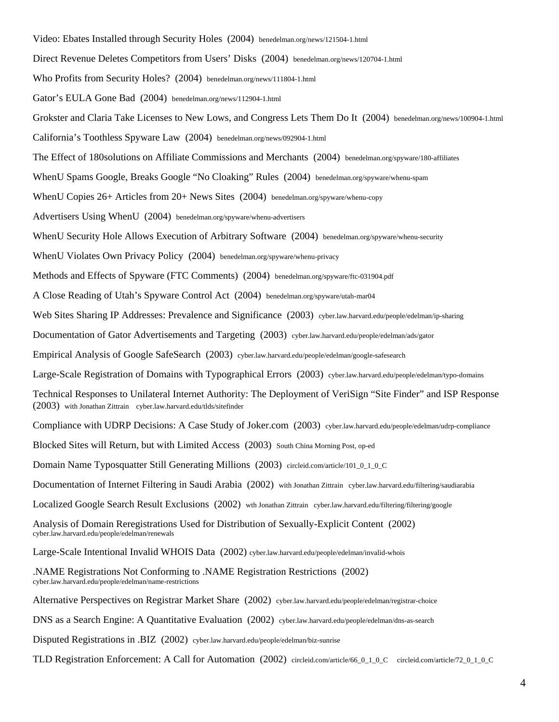Video: Ebates Installed through Security Holes (2004) benedelman.org/news/121504-1.html Direct Revenue Deletes Competitors from Users' Disks (2004) benedelman.org/news/120704-1.html Who Profits from Security Holes? (2004) benedelman.org/news/111804-1.html Gator's EULA Gone Bad (2004) benedelman.org/news/112904-1.html Grokster and Claria Take Licenses to New Lows, and Congress Lets Them Do It (2004) benedelman.org/news/100904-1.html California's Toothless Spyware Law (2004) benedelman.org/news/092904-1.html The Effect of 180solutions on Affiliate Commissions and Merchants (2004) benedelman.org/spyware/180-affiliates WhenU Spams Google, Breaks Google "No Cloaking" Rules (2004) benedelman.org/spyware/whenu-spam WhenU Copies 26+ Articles from 20+ News Sites (2004) benedelman.org/spyware/whenu-copy Advertisers Using WhenU (2004) benedelman.org/spyware/whenu-advertisers WhenU Security Hole Allows Execution of Arbitrary Software (2004) benedelman.org/spyware/whenu-security WhenU Violates Own Privacy Policy (2004) benedelman.org/spyware/whenu-privacy Methods and Effects of Spyware (FTC Comments) (2004) benedelman.org/spyware/ftc-031904.pdf A Close Reading of Utah's Spyware Control Act (2004) benedelman.org/spyware/utah-mar04 Web Sites Sharing IP Addresses: Prevalence and Significance (2003) cyber.law.harvard.edu/people/edelman/ip-sharing Documentation of Gator Advertisements and Targeting (2003) cyber.law.harvard.edu/people/edelman/ads/gator Empirical Analysis of Google SafeSearch (2003) cyber.law.harvard.edu/people/edelman/google-safesearch Large-Scale Registration of Domains with Typographical Errors (2003) cyber.law.harvard.edu/people/edelman/typo-domains Technical Responses to Unilateral Internet Authority: The Deployment of VeriSign "Site Finder" and ISP Response (2003) with Jonathan Zittrain cyber.law.harvard.edu/tlds/sitefinder Compliance with UDRP Decisions: A Case Study of Joker.com (2003) cyber.law.harvard.edu/people/edelman/udrp-compliance Blocked Sites will Return, but with Limited Access (2003) South China Morning Post, op-ed Domain Name Typosquatter Still Generating Millions (2003) circleid.com/article/101\_0\_1\_0\_C Documentation of Internet Filtering in Saudi Arabia (2002) with Jonathan Zittrain cyber.law.harvard.edu/filtering/saudiarabia Localized Google Search Result Exclusions (2002) wth Jonathan Zittrain cyber.law.harvard.edu/filtering/filtering/google Analysis of Domain Reregistrations Used for Distribution of Sexually-Explicit Content (2002) cyber.law.harvard.edu/people/edelman/renewals Large-Scale Intentional Invalid WHOIS Data (2002) cyber.law.harvard.edu/people/edelman/invalid-whois .NAME Registrations Not Conforming to .NAME Registration Restrictions (2002) cyber.law.harvard.edu/people/edelman/name-restrictions Alternative Perspectives on Registrar Market Share (2002) cyber.law.harvard.edu/people/edelman/registrar-choice DNS as a Search Engine: A Quantitative Evaluation (2002) cyber.law.harvard.edu/people/edelman/dns-as-search Disputed Registrations in .BIZ (2002) cyber.law.harvard.edu/people/edelman/biz-sunrise TLD Registration Enforcement: A Call for Automation (2002) circleid.com/article/66\_0\_1\_0\_C circleid.com/article/72\_0\_1\_0\_C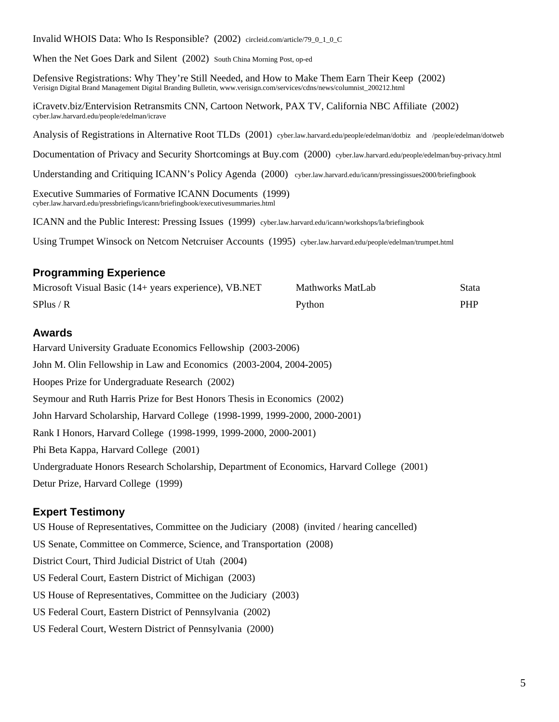Executive Summaries of Formative ICANN Documents (1999) cyber.law.harvard.edu/pressbriefings/icann/briefingbook/executivesummaries.html

ICANN and the Public Interest: Pressing Issues (1999) cyber.law.harvard.edu/icann/workshops/la/briefingbook

Using Trumpet Winsock on Netcom Netcruiser Accounts (1995) cyber.law.harvard.edu/people/edelman/trumpet.html

## **Programming Experience**

| Microsoft Visual Basic (14+ years experience), VB.NET | Mathworks MatLab | Stata      |
|-------------------------------------------------------|------------------|------------|
| SPlus / R                                             | Python           | <b>PHP</b> |

### **Awards**

Harvard University Graduate Economics Fellowship (2003-2006) John M. Olin Fellowship in Law and Economics (2003-2004, 2004-2005) Hoopes Prize for Undergraduate Research (2002) Seymour and Ruth Harris Prize for Best Honors Thesis in Economics (2002) John Harvard Scholarship, Harvard College (1998-1999, 1999-2000, 2000-2001) Rank I Honors, Harvard College (1998-1999, 1999-2000, 2000-2001) Phi Beta Kappa, Harvard College (2001) Undergraduate Honors Research Scholarship, Department of Economics, Harvard College (2001) Detur Prize, Harvard College (1999)

## **Expert Testimony**

US House of Representatives, Committee on the Judiciary (2008) (invited / hearing cancelled) US Senate, Committee on Commerce, Science, and Transportation (2008) District Court, Third Judicial District of Utah (2004) US Federal Court, Eastern District of Michigan (2003) US House of Representatives, Committee on the Judiciary (2003) US Federal Court, Eastern District of Pennsylvania (2002) US Federal Court, Western District of Pennsylvania (2000)